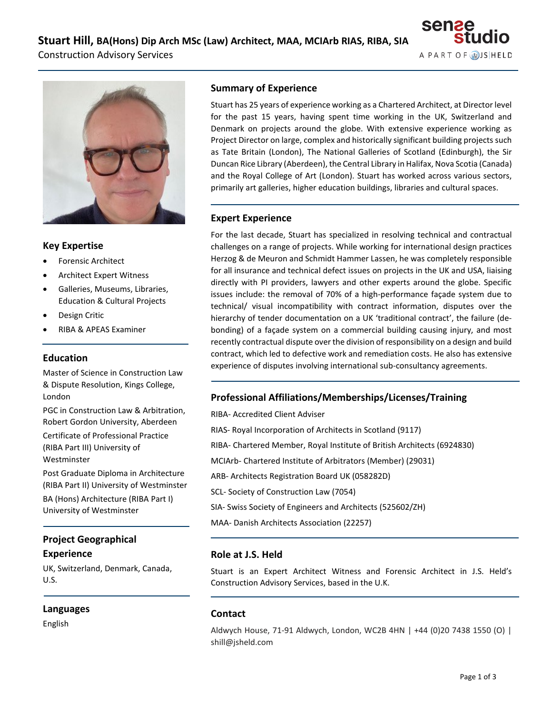



## **Key Expertise**

- Forensic Architect
- Architect Expert Witness
- Galleries, Museums, Libraries, Education & Cultural Projects
- Design Critic
- RIBA & APEAS Examiner

#### **Education**

Master of Science in Construction Law & Dispute Resolution, Kings College, London

PGC in Construction Law & Arbitration, Robert Gordon University, Aberdeen Certificate of Professional Practice (RIBA Part III) University of Westminster

Post Graduate Diploma in Architecture (RIBA Part II) University of Westminster BA (Hons) Architecture (RIBA Part I) University of Westminster

# **Project Geographical Experience**

UK, Switzerland, Denmark, Canada, U.S.

#### **Languages**

English

### **Summary of Experience**

Stuart has 25 years of experience working as a Chartered Architect, at Director level for the past 15 years, having spent time working in the UK, Switzerland and Denmark on projects around the globe. With extensive experience working as Project Director on large, complex and historically significant building projects such as Tate Britain (London), The National Galleries of Scotland (Edinburgh), the Sir Duncan Rice Library (Aberdeen), the Central Library in Halifax, Nova Scotia (Canada) and the Royal College of Art (London). Stuart has worked across various sectors, primarily art galleries, higher education buildings, libraries and cultural spaces.

## **Expert Experience**

For the last decade, Stuart has specialized in resolving technical and contractual challenges on a range of projects. While working for international design practices Herzog & de Meuron and Schmidt Hammer Lassen, he was completely responsible for all insurance and technical defect issues on projects in the UK and USA, liaising directly with PI providers, lawyers and other experts around the globe. Specific issues include: the removal of 70% of a high-performance façade system due to technical/ visual incompatibility with contract information, disputes over the hierarchy of tender documentation on a UK 'traditional contract', the failure (debonding) of a façade system on a commercial building causing injury, and most recently contractual dispute over the division of responsibility on a design and build contract, which led to defective work and remediation costs. He also has extensive experience of disputes involving international sub-consultancy agreements.

## **Professional Affiliations/Memberships/Licenses/Training**

RIBA- Accredited Client Adviser RIAS- Royal Incorporation of Architects in Scotland (9117) RIBA- Chartered Member, Royal Institute of British Architects (6924830) MCIArb- Chartered Institute of Arbitrators (Member) (29031) ARB- Architects Registration Board UK (058282D) SCL- Society of Construction Law (7054) SIA- Swiss Society of Engineers and Architects (525602/ZH) MAA- Danish Architects Association (22257)

## **Role at J.S. Held**

Stuart is an Expert Architect Witness and Forensic Architect in J.S. Held's Construction Advisory Services, based in the U.K.

## **Contact**

Aldwych House, 71-91 Aldwych, London, WC2B 4HN | +44 (0)20 7438 1550 (O) | shill@jsheld.com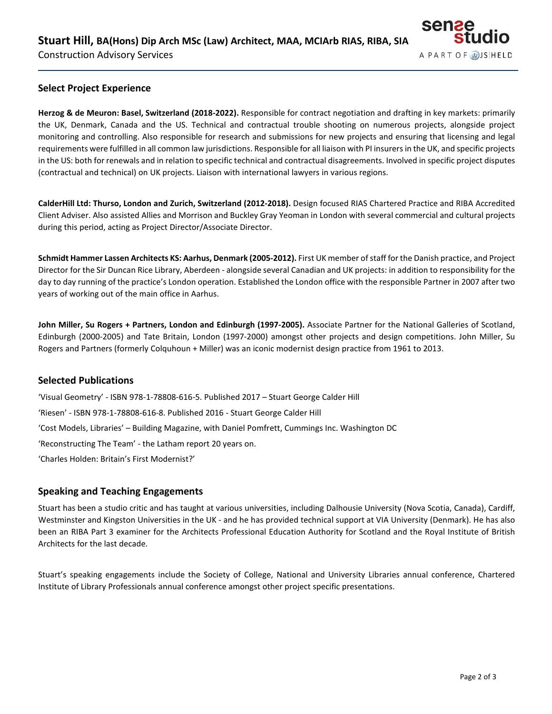

### **Select Project Experience**

**Herzog & de Meuron: Basel, Switzerland (2018-2022).** Responsible for contract negotiation and drafting in key markets: primarily the UK, Denmark, Canada and the US. Technical and contractual trouble shooting on numerous projects, alongside project monitoring and controlling. Also responsible for research and submissions for new projects and ensuring that licensing and legal requirements were fulfilled in all common law jurisdictions. Responsible for all liaison with PI insurers in the UK, and specific projects in the US: both for renewals and in relation to specific technical and contractual disagreements. Involved in specific project disputes (contractual and technical) on UK projects. Liaison with international lawyers in various regions.

**CalderHill Ltd: Thurso, London and Zurich, Switzerland (2012-2018).** Design focused RIAS Chartered Practice and RIBA Accredited Client Adviser. Also assisted Allies and Morrison and Buckley Gray Yeoman in London with several commercial and cultural projects during this period, acting as Project Director/Associate Director.

**Schmidt Hammer Lassen Architects KS: Aarhus, Denmark (2005-2012).** First UK member of staff for the Danish practice, and Project Director for the Sir Duncan Rice Library, Aberdeen - alongside several Canadian and UK projects: in addition to responsibility for the day to day running of the practice's London operation. Established the London office with the responsible Partner in 2007 after two years of working out of the main office in Aarhus.

**John Miller, Su Rogers + Partners, London and Edinburgh (1997-2005).** Associate Partner for the National Galleries of Scotland, Edinburgh (2000-2005) and Tate Britain, London (1997-2000) amongst other projects and design competitions. John Miller, Su Rogers and Partners (formerly Colquhoun + Miller) was an iconic modernist design practice from 1961 to 2013.

#### **Selected Publications**

'Visual Geometry' - ISBN 978-1-78808-616-5. Published 2017 – Stuart George Calder Hill 'Riesen' - ISBN 978-1-78808-616-8. Published 2016 - Stuart George Calder Hill 'Cost Models, Libraries' – Building Magazine, with Daniel Pomfrett, Cummings Inc. Washington DC 'Reconstructing The Team' - the Latham report 20 years on. 'Charles Holden: Britain's First Modernist?'

#### **Speaking and Teaching Engagements**

Stuart has been a studio critic and has taught at various universities, including Dalhousie University (Nova Scotia, Canada), Cardiff, Westminster and Kingston Universities in the UK - and he has provided technical support at VIA University (Denmark). He has also been an RIBA Part 3 examiner for the Architects Professional Education Authority for Scotland and the Royal Institute of British Architects for the last decade.

Stuart's speaking engagements include the Society of College, National and University Libraries annual conference, Chartered Institute of Library Professionals annual conference amongst other project specific presentations.